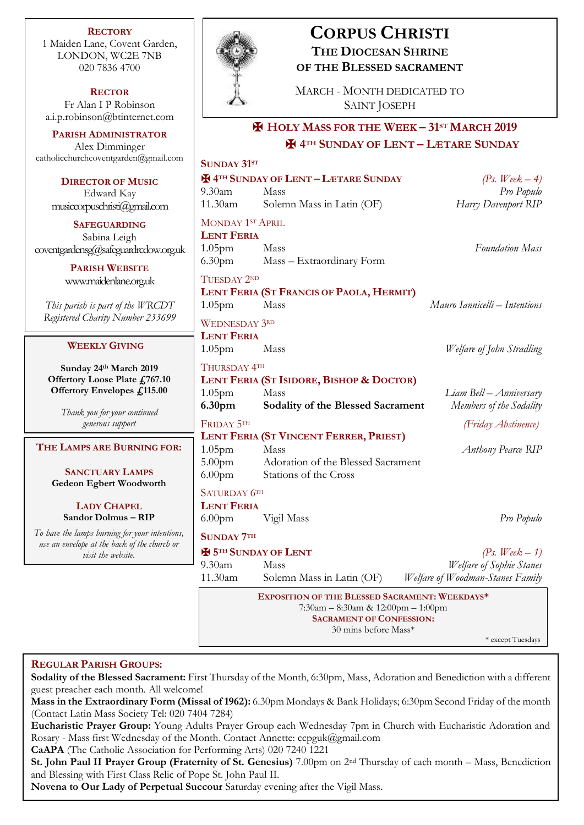**RECTORY** 1 Maiden Lane, Covent Garden, LONDON, WC2E 7NB 020 7836 4700

**RECTOR** Fr Alan I P Robinson [a.i.p.robinson@btinternet.com](mailto:a.i.p.robinson@btinternet.com)

**PARISH ADMINISTRATOR** Alex Dimminger [catholicchurchcoventgarden@gmail.com](mailto:catholicchurchcoventgarden@gmail.com)

**DIRECTOR OF I** Edward Ka  $musiccopyuschristi@$ 

**SAFEGUARDI** Sabina Leigh  $cover the ardensg@safegua$ 

> **PARISH WEBS** www.maidenlane.

*This parish is part of th Registered Charity Num* 

## **WEEKLY GIVI**

**Sunday 24<sup>th</sup> March Offertory Loose Plate Offertory Envelope** 

> *Thank you for your d* generous suppo

## $THE LAMPS ARE BUI$

**SANCTUARY L Gedeon Egbert Wo** 

**LADY CHAP**  $S$ andor Dolmus

*To have the lamps burning for your intentions, use an envelope at the back visit the websit* 



**SUNDAY 31ST**

# **CORPUS CHRISTI THE DIOCESAN SHRINE OF THE BLESSED SACRAMENT**

MARCH - MONTH DEDICATED TO SAINT JOSEPH

# ✠ **HOLY MASS FOR THE WEEK – 31ST MARCH 2019** ✠ **4TH SUNDAY OF LENT – LÆTARE SUNDAY**

|                                              | <u>דע ומשוטט</u>                                                         |                                        |                                  |
|----------------------------------------------|--------------------------------------------------------------------------|----------------------------------------|----------------------------------|
| <b>MUSIC</b>                                 | <b>E</b> 4TH SUNDAY OF LENT - LÆTARE SUNDAY                              |                                        | (Ps. Week $-4$ )                 |
| ιy                                           | 9.30am                                                                   | Mass                                   | Pro Populo                       |
| gmail.com                                    | 11.30am                                                                  | Solemn Mass in Latin (OF)              | Harry Davenport RIP              |
| <b>ING</b>                                   | <b>MONDAY 1ST APRIL</b>                                                  |                                        |                                  |
| h                                            | <b>LENT FERIA</b>                                                        |                                        |                                  |
| rdredow.org.uk                               | 1.05 <sub>pm</sub><br>6.30 <sub>pm</sub>                                 | Mass<br>Mass - Extraordinary Form      | <b>Foundation Mass</b>           |
| SITE                                         |                                                                          |                                        |                                  |
| .org.uk                                      | TUESDAY 2ND<br>LENT FERIA (ST FRANCIS OF PAOLA, HERMIT)                  |                                        |                                  |
| ve WRCDT                                     | 1.05 <sub>pm</sub>                                                       | Mass                                   | Mauro Iannicelli – Intentions    |
| ther 233699                                  |                                                                          |                                        |                                  |
|                                              | <b>WEDNESDAY 3RD</b><br><b>LENT FERIA</b>                                |                                        |                                  |
| NG                                           | $1.05$ pm                                                                | Mass                                   | Welfare of John Stradling        |
|                                              |                                                                          |                                        |                                  |
| ch 2019<br>te £767.10                        | THURSDAY 4TH<br>LENT FERIA (ST ISIDORE, BISHOP & DOCTOR)                 |                                        |                                  |
| s £115.00                                    | $1.05$ pm                                                                | Mass                                   | Liam Bell – Anniversary          |
|                                              | 6.30pm                                                                   | Sodality of the Blessed Sacrament      | Members of the Sodality          |
| ontinued<br>rt                               | FRIDAY 5TH                                                               |                                        | (Friday Abstinence)              |
|                                              |                                                                          | LENT FERIA (ST VINCENT FERRER, PRIEST) |                                  |
| <b>RNING FOR:</b>                            | 1.05 <sub>pm</sub>                                                       | Mass                                   | <b>Anthony Pearce RIP</b>        |
|                                              | 5.00 <sub>pm</sub>                                                       | Adoration of the Blessed Sacrament     |                                  |
| <b>AMPS</b><br>odworth                       | 6.00 <sub>pm</sub>                                                       | Stations of the Cross                  |                                  |
|                                              | SATURDAY 6TH                                                             |                                        |                                  |
| EL                                           | <b>LENT FERIA</b>                                                        |                                        |                                  |
| $- RIP$                                      | 6.00 <sub>pm</sub>                                                       | Vigil Mass                             | Pro Populo                       |
| r your intentions,<br>of the church or<br>e. | <b>SUNDAY 7TH</b>                                                        |                                        |                                  |
|                                              | <b>X</b> 5TH SUNDAY OF LENT<br>(Ps. Week $-1$ )                          |                                        |                                  |
|                                              | 9.30 <sub>am</sub>                                                       | Mass                                   | Welfare of Sophie Stanes         |
|                                              | 11.30am                                                                  | Solemn Mass in Latin (OF)              | Welfare of Woodman-Stanes Family |
|                                              | EXPOSITION OF THE BLESSED SACRAMENT: WEEKDAYS*                           |                                        |                                  |
|                                              | $7:30$ am – 8:30am & 12:00pm – 1:00pm<br><b>SACRAMENT OF CONFESSION:</b> |                                        |                                  |
|                                              |                                                                          | 30 mins before Mass*                   |                                  |
|                                              |                                                                          |                                        | * except Tuesdays                |
|                                              |                                                                          |                                        |                                  |

# **REGULAR PARISH GROUPS:**

**Sodality of the Blessed Sacrament:** First Thursday of the Month, 6:30pm, Mass, Adoration and Benediction with a different guest preacher each month. All welcome!

**Mass in the Extraordinary Form (Missal of 1962):** 6.30pm Mondays & Bank Holidays; 6:30pm Second Friday of the month (Contact Latin Mass Society Tel: 020 7404 7284)

**Eucharistic Prayer Group:** Young Adults Prayer Group each Wednesday 7pm in Church with Eucharistic Adoration and Rosary - Mass first Wednesday of the Month. Contact Annette: ccpguk@gmail.com

**CaAPA** (The Catholic Association for Performing Arts) 020 7240 1221

**St. John Paul II Prayer Group (Fraternity of St. Genesius)** 7.00pm on 2nd Thursday of each month – Mass, Benediction and Blessing with First Class Relic of Pope St. John Paul II.

**Novena to Our Lady of Perpetual Succour** Saturday evening after the Vigil Mass.